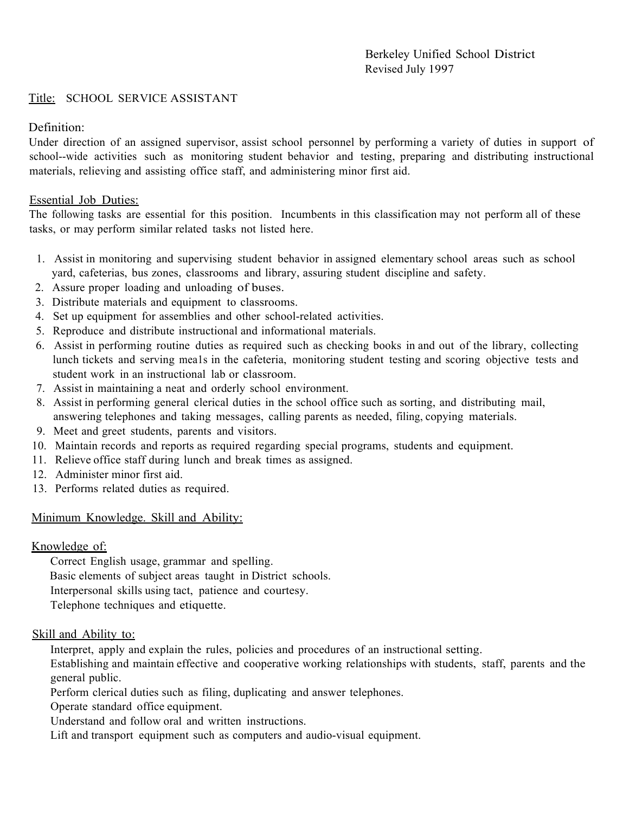### Title: SCHOOL SERVICE ASSISTANT

# Definition:

Under direction of an assigned supervisor, assist school personnel by performing a variety of duties in support of school--wide activities such as monitoring student behavior and testing, preparing and distributing instructional materials, relieving and assisting office staff, and administering minor first aid.

# Essential Job Duties:

 The following tasks are essential for this position. Incumbents in this classification may not perform all of these tasks, or may perform similar related tasks not listed here.

- 1. Assist in monitoring and supervising student behavior in assigned elementary school areas such as school yard, cafeterias, bus zones, classrooms and library, assuring student discipline and safety.
- 2. Assure proper loading and unloading of buses.
- 3. Distribute materials and equipment to classrooms.
- 4. Set up equipment for assemblies and other school-related activities.
- 5. Reproduce and distribute instructional and informational materials.
- 6. Assist in performing routine duties as required such as checking books in and out of the library, collecting lunch tickets and serving mea1s in the cafeteria, monitoring student testing and scoring objective tests and student work in an instructional lab or classroom.
- 7. Assist in maintaining a neat and orderly school environment.
- 8. Assist in performing general clerical duties in the school office such as sorting, and distributing mail, answering telephones and taking messages, calling parents as needed, filing, copying materials.
- 9. Meet and greet students, parents and visitors.
- 10. Maintain records and reports as required regarding special programs, students and equipment.
- 11. Relieve office staff during lunch and break times as assigned.
- 12. Administer minor first aid.
- 13. Performs related duties as required.

### Minimum Knowledge. Skill and Ability:

### Knowledge of:

Correct English usage, grammar and spelling. Basic elements of subject areas taught in District schools. Interpersonal skills using tact, patience and courtesy. Telephone techniques and etiquette.

### Skill and Ability to:

Interpret, apply and explain the rules, policies and procedures of an instructional setting.

Establishing and maintain effective and cooperative working relationships with students, staff, parents and the general public.

Perform clerical duties such as filing, duplicating and answer telephones.

Operate standard office equipment.

Understand and follow oral and written instructions.

Lift and transport equipment such as computers and audio-visual equipment.